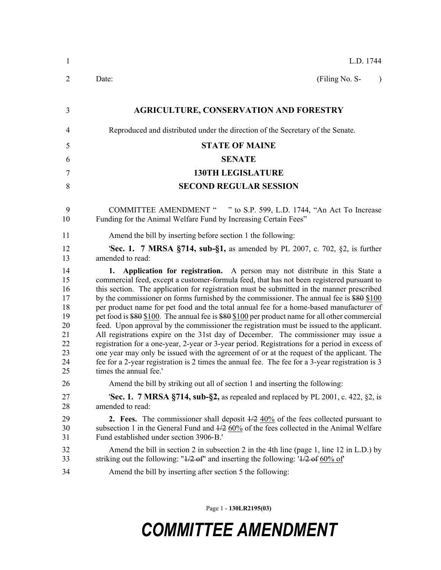| $\mathbf{1}$                                                         | L.D. 1744                                                                                                                                                                                                                                                                                                                                                                                                                                                                                                                                                                                                                                                                                                                                                                                                                                                                                                                                                                                                                                                                        |  |  |  |
|----------------------------------------------------------------------|----------------------------------------------------------------------------------------------------------------------------------------------------------------------------------------------------------------------------------------------------------------------------------------------------------------------------------------------------------------------------------------------------------------------------------------------------------------------------------------------------------------------------------------------------------------------------------------------------------------------------------------------------------------------------------------------------------------------------------------------------------------------------------------------------------------------------------------------------------------------------------------------------------------------------------------------------------------------------------------------------------------------------------------------------------------------------------|--|--|--|
| $\overline{2}$                                                       | (Filing No. S-<br>Date:<br>$\lambda$                                                                                                                                                                                                                                                                                                                                                                                                                                                                                                                                                                                                                                                                                                                                                                                                                                                                                                                                                                                                                                             |  |  |  |
| 3                                                                    | <b>AGRICULTURE, CONSERVATION AND FORESTRY</b>                                                                                                                                                                                                                                                                                                                                                                                                                                                                                                                                                                                                                                                                                                                                                                                                                                                                                                                                                                                                                                    |  |  |  |
| 4                                                                    | Reproduced and distributed under the direction of the Secretary of the Senate.                                                                                                                                                                                                                                                                                                                                                                                                                                                                                                                                                                                                                                                                                                                                                                                                                                                                                                                                                                                                   |  |  |  |
| 5                                                                    | <b>STATE OF MAINE</b>                                                                                                                                                                                                                                                                                                                                                                                                                                                                                                                                                                                                                                                                                                                                                                                                                                                                                                                                                                                                                                                            |  |  |  |
| 6                                                                    | <b>SENATE</b>                                                                                                                                                                                                                                                                                                                                                                                                                                                                                                                                                                                                                                                                                                                                                                                                                                                                                                                                                                                                                                                                    |  |  |  |
| 7                                                                    | <b>130TH LEGISLATURE</b>                                                                                                                                                                                                                                                                                                                                                                                                                                                                                                                                                                                                                                                                                                                                                                                                                                                                                                                                                                                                                                                         |  |  |  |
| 8                                                                    | <b>SECOND REGULAR SESSION</b>                                                                                                                                                                                                                                                                                                                                                                                                                                                                                                                                                                                                                                                                                                                                                                                                                                                                                                                                                                                                                                                    |  |  |  |
| 9<br>10                                                              | COMMITTEE AMENDMENT " " to S.P. 599, L.D. 1744, "An Act To Increase<br>Funding for the Animal Welfare Fund by Increasing Certain Fees"                                                                                                                                                                                                                                                                                                                                                                                                                                                                                                                                                                                                                                                                                                                                                                                                                                                                                                                                           |  |  |  |
| 11                                                                   | Amend the bill by inserting before section 1 the following:                                                                                                                                                                                                                                                                                                                                                                                                                                                                                                                                                                                                                                                                                                                                                                                                                                                                                                                                                                                                                      |  |  |  |
| 12<br>13                                                             | <b>Sec. 1. 7 MRSA §714, sub-§1,</b> as amended by PL 2007, c. 702, §2, is further<br>amended to read:                                                                                                                                                                                                                                                                                                                                                                                                                                                                                                                                                                                                                                                                                                                                                                                                                                                                                                                                                                            |  |  |  |
| 14<br>15<br>16<br>17<br>18<br>19<br>20<br>21<br>22<br>23<br>24<br>25 | Application for registration. A person may not distribute in this State a<br>1.<br>commercial feed, except a customer-formula feed, that has not been registered pursuant to<br>this section. The application for registration must be submitted in the manner prescribed<br>by the commissioner on forms furnished by the commissioner. The annual fee is \$80 \$100<br>per product name for pet food and the total annual fee for a home-based manufacturer of<br>pet food is \$80 \$100. The annual fee is \$80 \$100 per product name for all other commercial<br>feed. Upon approval by the commissioner the registration must be issued to the applicant.<br>All registrations expire on the 31st day of December. The commissioner may issue a<br>registration for a one-year, 2-year or 3-year period. Registrations for a period in excess of<br>one year may only be issued with the agreement of or at the request of the applicant. The<br>fee for a 2-year registration is 2 times the annual fee. The fee for a 3-year registration is 3<br>times the annual fee.' |  |  |  |
| 26                                                                   | Amend the bill by striking out all of section 1 and inserting the following:                                                                                                                                                                                                                                                                                                                                                                                                                                                                                                                                                                                                                                                                                                                                                                                                                                                                                                                                                                                                     |  |  |  |
| 27<br>28                                                             | <b>Sec. 1. 7 MRSA §714, sub-§2,</b> as repealed and replaced by PL 2001, c. 422, §2, is<br>amended to read:                                                                                                                                                                                                                                                                                                                                                                                                                                                                                                                                                                                                                                                                                                                                                                                                                                                                                                                                                                      |  |  |  |
| 29<br>30<br>31                                                       | <b>2.</b> Fees. The commissioner shall deposit $\frac{1}{2}$ 40% of the fees collected pursuant to<br>subsection 1 in the General Fund and $\frac{1}{2}$ 60% of the fees collected in the Animal Welfare<br>Fund established under section 3906-B.'                                                                                                                                                                                                                                                                                                                                                                                                                                                                                                                                                                                                                                                                                                                                                                                                                              |  |  |  |
| 32<br>33                                                             | Amend the bill in section 2 in subsection 2 in the 4th line (page 1, line 12 in L.D.) by<br>striking out the following: " $\frac{1}{2}$ of" and inserting the following: ' $\frac{1}{2}$ of $\frac{60\%}{10}$ of                                                                                                                                                                                                                                                                                                                                                                                                                                                                                                                                                                                                                                                                                                                                                                                                                                                                 |  |  |  |
| 34                                                                   | Amend the bill by inserting after section 5 the following:                                                                                                                                                                                                                                                                                                                                                                                                                                                                                                                                                                                                                                                                                                                                                                                                                                                                                                                                                                                                                       |  |  |  |

Page 1 - **130LR2195(03)**

## *COMMITTEE AMENDMENT*